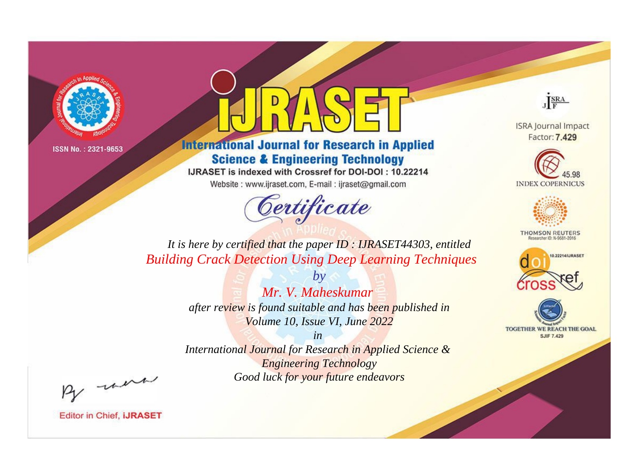

# **International Journal for Research in Applied Science & Engineering Technology**

IJRASET is indexed with Crossref for DOI-DOI: 10.22214

Website: www.ijraset.com, E-mail: ijraset@gmail.com



JERA

**ISRA Journal Impact** Factor: 7.429





**THOMSON REUTERS** 



TOGETHER WE REACH THE GOAL **SJIF 7.429** 

*It is here by certified that the paper ID : IJRASET44303, entitled Building Crack Detection Using Deep Learning Techniques*

> *Mr. V. Maheskumar after review is found suitable and has been published in Volume 10, Issue VI, June 2022*

*by*

*in* 

*International Journal for Research in Applied Science & Engineering Technology Good luck for your future endeavors*

By morn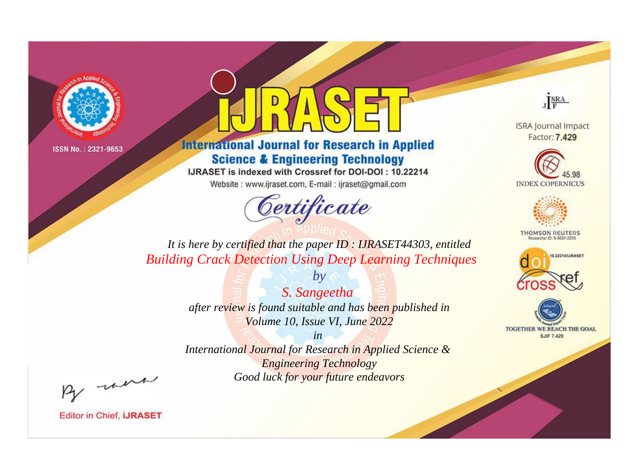

# **International Journal for Research in Applied Science & Engineering Technology**

IJRASET is indexed with Crossref for DOI-DOI: 10.22214

Website: www.ijraset.com, E-mail: ijraset@gmail.com



JERA

**ISRA Journal Impact** Factor: 7.429





**THOMSON REUTERS** 



TOGETHER WE REACH THE GOAL **SJIF 7.429** 

*It is here by certified that the paper ID : IJRASET44303, entitled Building Crack Detection Using Deep Learning Techniques*

> *S. Sangeetha after review is found suitable and has been published in Volume 10, Issue VI, June 2022*

*by*

*in* 

*International Journal for Research in Applied Science & Engineering Technology Good luck for your future endeavors*

By morn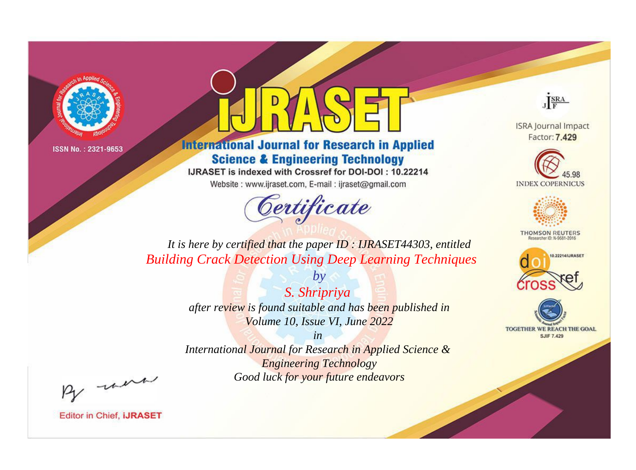

## **International Journal for Research in Applied Science & Engineering Technology**

IJRASET is indexed with Crossref for DOI-DOI: 10.22214

Website: www.ijraset.com, E-mail: ijraset@gmail.com



JERA

**ISRA Journal Impact** Factor: 7.429





**THOMSON REUTERS** 



TOGETHER WE REACH THE GOAL **SJIF 7.429** 

*It is here by certified that the paper ID : IJRASET44303, entitled Building Crack Detection Using Deep Learning Techniques*

> *S. Shripriya after review is found suitable and has been published in Volume 10, Issue VI, June 2022*

*by*

*in* 

*International Journal for Research in Applied Science & Engineering Technology Good luck for your future endeavors*

By morn